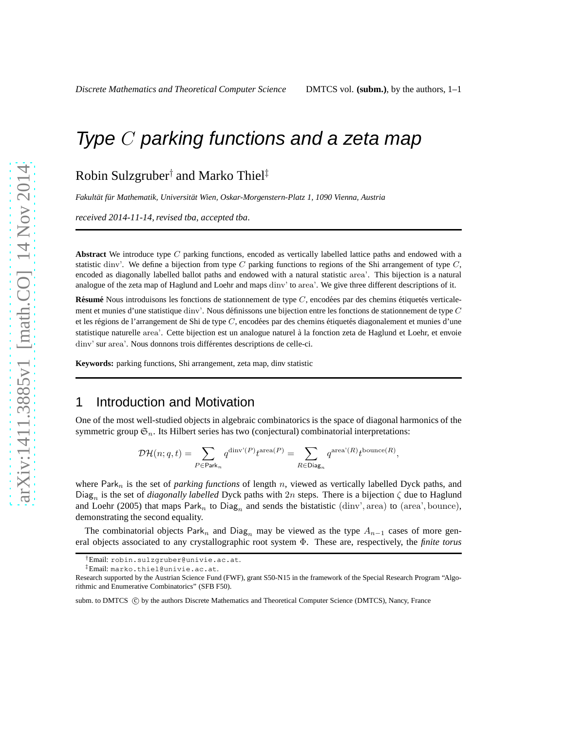# Type C parking functions and a zeta map

Robin Sulzgruber† and Marko Thiel‡

Fakultät für Mathematik, Universität Wien, Oskar-Morgenstern-Platz 1, 1090 Vienna, Austria

*received 2014-11-14*, *revised tba*, *accepted tba*.

**Abstract** We introduce type C parking functions, encoded as vertically labelled lattice paths and endowed with a statistic dinv'. We define a bijection from type C parking functions to regions of the Shi arrangement of type  $C$ , encoded as diagonally labelled ballot paths and endowed with a natural statistic area'. This bijection is a natural analogue of the zeta map of Haglund and Loehr and maps dinv' to area'. We give three different descriptions of it.

**Résumé** Nous introduisons les fonctions de stationnement de type  $C$ , encodées par des chemins étiquetés verticalement et munies d'une statistique dinv'. Nous définissons une bijection entre les fonctions de stationnement de type  $C$ et les régions de l'arrangement de Shi de type  $C$ , encodées par des chemins étiquetés diagonalement et munies d'une statistique naturelle area'. Cette bijection est un analogue naturel à la fonction zeta de Haglund et Loehr, et envoie dinv' sur area'. Nous donnons trois différentes descriptions de celle-ci.

**Keywords:** parking functions, Shi arrangement, zeta map, dinv statistic

# 1 Introduction and Motivation

One of the most well-studied objects in algebraic combinatorics is the space of diagonal harmonics of the symmetric group  $\mathfrak{S}_n$ . Its Hilbert series has two (conjectural) combinatorial interpretations:

$$
\mathcal{DH}(n;q,t)=\sum_{P\in\mathsf{Park}_n}q^{\mathsf{dinv}^{\mathsf{i}}(P)}t^{\operatorname{area}(P)}=\sum_{R\in\mathsf{Diag}_n}q^{\mathsf{area}^{\mathsf{i}}(R)}t^{\mathsf{bounce}(R)},
$$

where Park<sub>n</sub> is the set of *parking functions* of length n, viewed as vertically labelled Dyck paths, and Diag<sub>n</sub> is the set of *diagonally labelled* Dyck paths with 2n steps. There is a bijection  $\zeta$  due to Haglund and Loehr (2005) that maps  $\text{Park}_n$  to  $\text{Diag}_n$  and sends the bistatistic (dinv', area) to (area', bounce), demonstrating the second equality.

The combinatorial objects Park<sub>n</sub> and Diag<sub>n</sub> may be viewed as the type  $A_{n-1}$  cases of more general objects associated to any crystallographic root system Φ. These are, respectively, the *finite torus*

<sup>†</sup>Email: robin.sulzgruber@univie.ac.at.

<sup>‡</sup>Email: marko.thiel@univie.ac.at.

Research supported by the Austrian Science Fund (FWF), grant S50-N15 in the framework of the Special Research Program "Algorithmic and Enumerative Combinatorics" (SFB F50).

subm. to DMTCS (C) by the authors Discrete Mathematics and Theoretical Computer Science (DMTCS), Nancy, France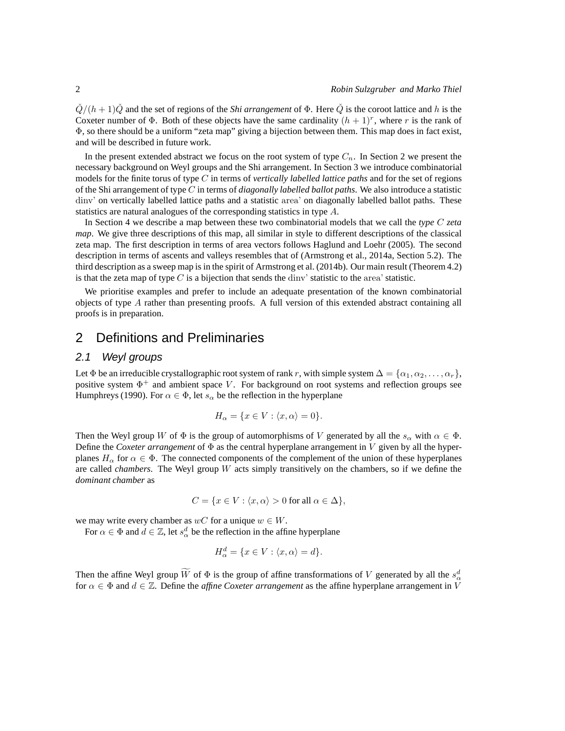$\tilde{Q}/(h+1)\tilde{Q}$  and the set of regions of the *Shi arrangement* of  $\Phi$ . Here  $\tilde{Q}$  is the coroot lattice and h is the Coxeter number of  $\Phi$ . Both of these objects have the same cardinality  $(h + 1)^r$ , where r is the rank of Φ, so there should be a uniform "zeta map" giving a bijection between them. This map does in fact exist, and will be described in future work.

In the present extended abstract we focus on the root system of type  $C_n$ . In Section 2 we present the necessary background on Weyl groups and the Shi arrangement. In Section 3 we introduce combinatorial models for the finite torus of type C in terms of *vertically labelled lattice paths* and for the set of regions of the Shi arrangement of type C in terms of *diagonally labelled ballot paths*. We also introduce a statistic dinv' on vertically labelled lattice paths and a statistic area' on diagonally labelled ballot paths. These statistics are natural analogues of the corresponding statistics in type A.

In Section 4 we describe a map between these two combinatorial models that we call the *type* C *zeta map*. We give three descriptions of this map, all similar in style to different descriptions of the classical zeta map. The first description in terms of area vectors follows Haglund and Loehr (2005). The second description in terms of ascents and valleys resembles that of (Armstrong et al., 2014a, Section 5.2). The third description as a sweep map is in the spirit of Armstrong et al. (2014b). Our main result (Theorem 4.2) is that the zeta map of type C is a bijection that sends the dinv' statistic to the area' statistic.

We prioritise examples and prefer to include an adequate presentation of the known combinatorial objects of type A rather than presenting proofs. A full version of this extended abstract containing all proofs is in preparation.

# 2 Definitions and Preliminaries

#### 2.1 Weyl groups

Let  $\Phi$  be an irreducible crystallographic root system of rank r, with simple system  $\Delta = {\alpha_1, \alpha_2, \dots, \alpha_r}$ , positive system  $\Phi^+$  and ambient space V. For background on root systems and reflection groups see Humphreys (1990). For  $\alpha \in \Phi$ , let  $s_{\alpha}$  be the reflection in the hyperplane

$$
H_{\alpha} = \{ x \in V : \langle x, \alpha \rangle = 0 \}.
$$

Then the Weyl group W of  $\Phi$  is the group of automorphisms of V generated by all the  $s_{\alpha}$  with  $\alpha \in \Phi$ . Define the *Coxeter arrangement* of  $\Phi$  as the central hyperplane arrangement in V given by all the hyperplanes  $H_{\alpha}$  for  $\alpha \in \Phi$ . The connected components of the complement of the union of these hyperplanes are called *chambers*. The Weyl group W acts simply transitively on the chambers, so if we define the *dominant chamber* as

$$
C = \{ x \in V : \langle x, \alpha \rangle > 0 \text{ for all } \alpha \in \Delta \},
$$

we may write every chamber as  $wC$  for a unique  $w \in W$ .

For  $\alpha \in \Phi$  and  $d \in \mathbb{Z}$ , let  $s^d_\alpha$  be the reflection in the affine hyperplane

$$
H_{\alpha}^{d} = \{ x \in V : \langle x, \alpha \rangle = d \}.
$$

Then the affine Weyl group  $\overline{W}$  of  $\Phi$  is the group of affine transformations of V generated by all the  $s^d_{\alpha}$ for  $\alpha \in \Phi$  and  $d \in \mathbb{Z}$ . Define the *affine Coxeter arrangement* as the affine hyperplane arrangement in V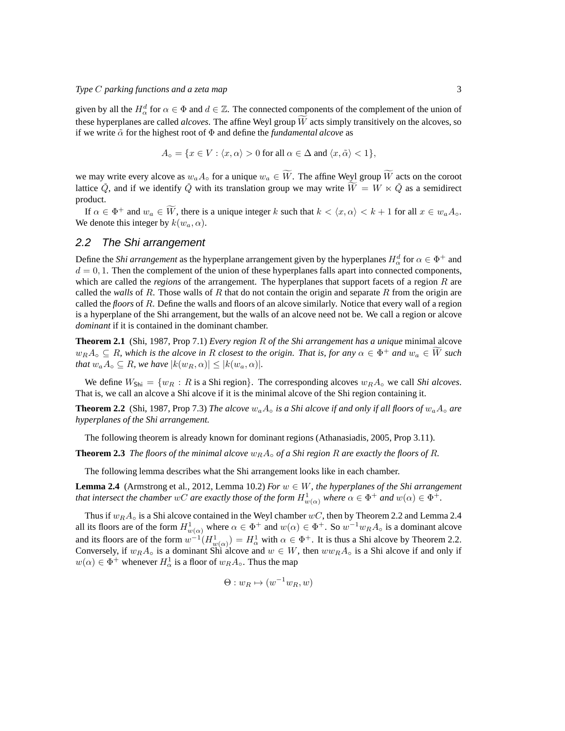given by all the  $H^d_\alpha$  for  $\alpha \in \Phi$  and  $d \in \mathbb{Z}$ . The connected components of the complement of the union of these hyperplanes are called *alcoves*. The affine Weyl group  $\tilde{W}$  acts simply transitively on the alcoves, so if we write  $\tilde{\alpha}$  for the highest root of  $\Phi$  and define the *fundamental alcove* as

$$
A_{\circ} = \{ x \in V : \langle x, \alpha \rangle > 0 \text{ for all } \alpha \in \Delta \text{ and } \langle x, \tilde{\alpha} \rangle < 1 \},
$$

we may write every alcove as  $w_a A_o$  for a unique  $w_a \in \widetilde{W}$ . The affine Weyl group  $\widetilde{W}$  acts on the coroot lattice  $\check{Q}$ , and if we identify  $\check{Q}$  with its translation group we may write  $\widetilde{W} = W \ltimes \check{Q}$  as a semidirect product.

If  $\alpha \in \Phi^+$  and  $w_a \in W$ , there is a unique integer k such that  $k < \langle x, \alpha \rangle < k + 1$  for all  $x \in w_a A_0$ . We denote this integer by  $k(w_a, \alpha)$ .

#### 2.2 The Shi arrangement

Define the *Shi arrangement* as the hyperplane arrangement given by the hyperplanes  $H^d_\alpha$  for  $\alpha \in \Phi^+$  and  $d = 0, 1$ . Then the complement of the union of these hyperplanes falls apart into connected components, which are called the *regions* of the arrangement. The hyperplanes that support facets of a region R are called the *walls* of R. Those walls of R that do not contain the origin and separate R from the origin are called the *floors* of R. Define the walls and floors of an alcove similarly. Notice that every wall of a region is a hyperplane of the Shi arrangement, but the walls of an alcove need not be. We call a region or alcove *dominant* if it is contained in the dominant chamber.

**Theorem 2.1** (Shi, 1987, Prop 7.1) *Every region* R *of the Shi arrangement has a unique* minimal alcove  $w_R A_\circ \subseteq R$ , which is the alcove in R closest to the origin. That is, for any  $\alpha \in \Phi^+$  and  $w_a \in W$  such *that*  $w_a A_o \subseteq R$ *, we have*  $|k(w_R, \alpha)| \leq |k(w_a, \alpha)|$ *.* 

We define  $W_{\text{Shi}} = \{w_R : R \text{ is a Shi region}\}\$ . The corresponding alcoves  $w_R A_{\text{o}}$  we call *Shi alcoves*. That is, we call an alcove a Shi alcove if it is the minimal alcove of the Shi region containing it.

**Theorem 2.2** (Shi, 1987, Prop 7.3) *The alcove*  $w_a A_o$  *is a Shi alcove if and only if all floors of*  $w_a A_o$  *are hyperplanes of the Shi arrangement.*

The following theorem is already known for dominant regions (Athanasiadis, 2005, Prop 3.11).

**Theorem 2.3** *The floors of the minimal alcove*  $w_B A_{\circ}$  *of a Shi region* R *are exactly the floors of* R.

The following lemma describes what the Shi arrangement looks like in each chamber.

**Lemma 2.4** (Armstrong et al., 2012, Lemma 10.2) *For*  $w \in W$ *, the hyperplanes of the Shi arrangement that intersect the chamber wC are exactly those of the form*  $H^1_{w(\alpha)}$  *where*  $\alpha \in \Phi^+$  *and*  $w(\alpha) \in \Phi^+.$ 

Thus if  $w_R A_{\circ}$  is a Shi alcove contained in the Weyl chamber wC, then by Theorem 2.2 and Lemma 2.4 all its floors are of the form  $H^1_{w(\alpha)}$  where  $\alpha \in \Phi^+$  and  $w(\alpha) \in \Phi^+$ . So  $w^{-1}w_R A_{\circ}$  is a dominant alcove and its floors are of the form  $w^{-1}(H^1_{w(\alpha)}) = H^1_{\alpha}$  with  $\alpha \in \Phi^+$ . It is thus a Shi alcove by Theorem 2.2. Conversely, if  $w_R A_{\circ}$  is a dominant Shi alcove and  $w \in W$ , then  $ww_R A_{\circ}$  is a Shi alcove if and only if  $w(\alpha) \in \Phi^+$  whenever  $H^1_\alpha$  is a floor of  $w_R A_\circ$ . Thus the map

$$
\Theta: w_R \mapsto (w^{-1}w_R, w)
$$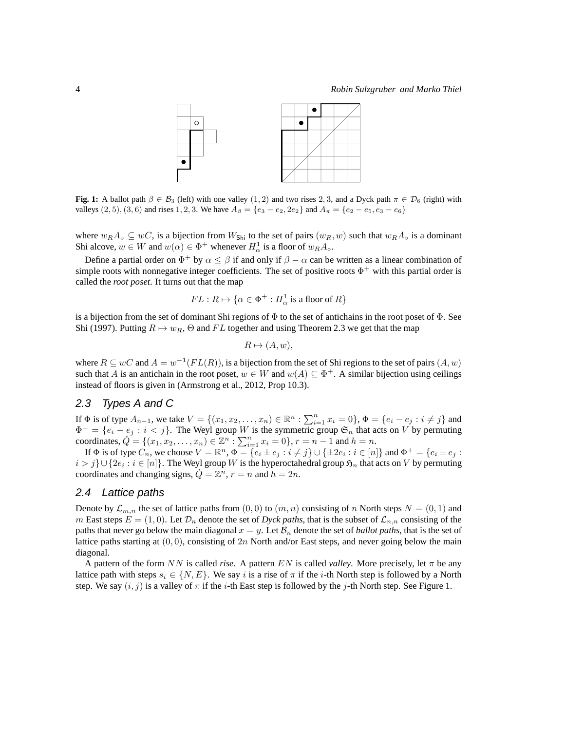

**Fig. 1:** A ballot path  $\beta \in \mathcal{B}_3$  (left) with one valley (1, 2) and two rises 2, 3, and a Dyck path  $\pi \in \mathcal{D}_6$  (right) with valleys (2, 5), (3, 6) and rises 1, 2, 3. We have  $A_{\beta} = \{e_3 - e_2, 2e_2\}$  and  $A_{\pi} = \{e_2 - e_5, e_3 - e_6\}$ 

where  $w_R A_{\circ} \subseteq wC$ , is a bijection from  $W_{\text{Shi}}$  to the set of pairs  $(w_R, w)$  such that  $w_R A_{\circ}$  is a dominant Shi alcove,  $w \in W$  and  $w(\alpha) \in \Phi^+$  whenever  $H^1_\alpha$  is a floor of  $w_R A_\circ$ .

Define a partial order on  $\Phi^+$  by  $\alpha \le \beta$  if and only if  $\beta - \alpha$  can be written as a linear combination of simple roots with nonnegative integer coefficients. The set of positive roots  $\Phi^+$  with this partial order is called the *root poset*. It turns out that the map

$$
FL: R \mapsto \{ \alpha \in \Phi^+ : H^1_\alpha \text{ is a floor of } R \}
$$

is a bijection from the set of dominant Shi regions of  $\Phi$  to the set of antichains in the root poset of  $\Phi$ . See Shi (1997). Putting  $R \mapsto w_R$ ,  $\Theta$  and FL together and using Theorem 2.3 we get that the map

$$
R \mapsto (A, w),
$$

where  $R \subseteq wC$  and  $A = w^{-1}(FL(R))$ , is a bijection from the set of Shi regions to the set of pairs  $(A, w)$ such that A is an antichain in the root poset,  $w \in W$  and  $w(A) \subseteq \Phi^+$ . A similar bijection using ceilings instead of floors is given in (Armstrong et al., 2012, Prop 10.3).

#### 2.3 Types A and C

If  $\Phi$  is of type  $A_{n-1}$ , we take  $V = \{(x_1, x_2, ..., x_n) \in \mathbb{R}^n : \sum_{i=1}^n x_i = 0\}$ ,  $\Phi = \{e_i - e_j : i \neq j\}$  and  $\Phi^+ = \{e_i - e_j : i < j\}.$  The Weyl group W is the symmetric group  $\mathfrak{S}_n$  that acts on V by permuting coordinates,  $\check{Q} = \{(x_1, x_2, \dots, x_n) \in \mathbb{Z}^n : \sum_{i=1}^n x_i = 0\}, r = n - 1$  and  $h = n$ .

If  $\Phi$  is of type  $\hat{C}_n$ , we choose  $V = \mathbb{R}^n$ ,  $\Phi = \{e_i \pm e_j : i \neq j\} \cup \{\pm 2e_i : i \in [n]\}$  and  $\Phi^+ = \{e_i \pm e_j : i \neq j\}$  $i > j$ }∪{2 $e_i : i \in [n]$ }. The Weyl group W is the hyperoctahedral group  $\mathfrak{H}_n$  that acts on V by permuting coordinates and changing signs,  $\check{Q} = \mathbb{Z}^n$ ,  $r = n$  and  $h = 2n$ .

#### 2.4 Lattice paths

Denote by  $\mathcal{L}_{m,n}$  the set of lattice paths from  $(0,0)$  to  $(m,n)$  consisting of n North steps  $N = (0,1)$  and m East steps  $E = (1, 0)$ . Let  $\mathcal{D}_n$  denote the set of *Dyck paths*, that is the subset of  $\mathcal{L}_{n,n}$  consisting of the paths that never go below the main diagonal  $x = y$ . Let  $\mathcal{B}_n$  denote the set of *ballot paths*, that is the set of lattice paths starting at  $(0, 0)$ , consisting of 2n North and/or East steps, and never going below the main diagonal.

A pattern of the form NN is called *rise*. A pattern EN is called *valley*. More precisely, let π be any lattice path with steps  $s_i \in \{N, E\}$ . We say i is a rise of  $\pi$  if the i-th North step is followed by a North step. We say  $(i, j)$  is a valley of  $\pi$  if the *i*-th East step is followed by the *j*-th North step. See Figure 1.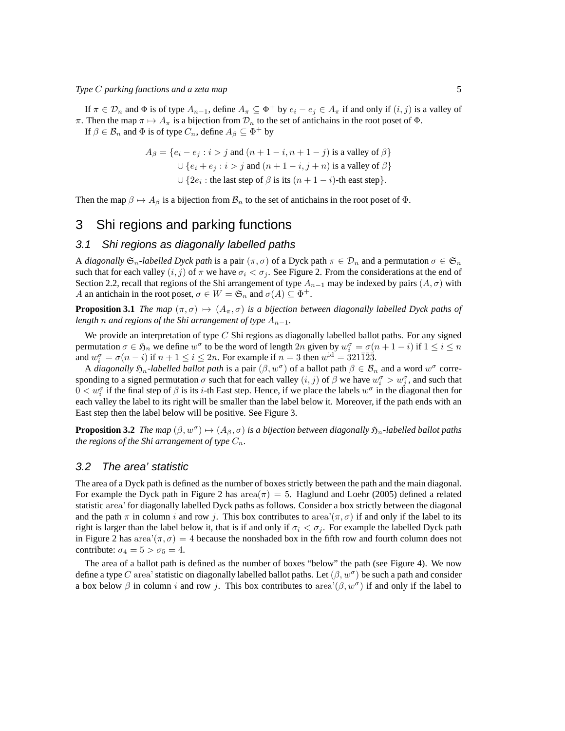If  $\pi \in \mathcal{D}_n$  and  $\Phi$  is of type  $A_{n-1}$ , define  $A_{\pi} \subseteq \Phi^+$  by  $e_i - e_j \in A_{\pi}$  if and only if  $(i, j)$  is a valley of π. Then the map  $\pi \mapsto A_{\pi}$  is a bijection from  $\mathcal{D}_n$  to the set of antichains in the root poset of  $\Phi$ .

If  $\beta \in \mathcal{B}_n$  and  $\Phi$  is of type  $C_n$ , define  $A_\beta \subseteq \Phi^+$  by

$$
A_{\beta} = \{e_i - e_j : i > j \text{ and } (n+1-i, n+1-j) \text{ is a valley of } \beta\}
$$
  

$$
\cup \{e_i + e_j : i > j \text{ and } (n+1-i, j+n) \text{ is a valley of } \beta\}
$$
  

$$
\cup \{2e_i : \text{the last step of } \beta \text{ is its } (n+1-i)\text{-th east step}\}.
$$

Then the map  $\beta \mapsto A_{\beta}$  is a bijection from  $\mathcal{B}_n$  to the set of antichains in the root poset of  $\Phi$ .

# 3 Shi regions and parking functions

#### 3.1 Shi regions as diagonally labelled paths

A *diagonally*  $\mathfrak{S}_n$ -labelled Dyck path is a pair  $(\pi, \sigma)$  of a Dyck path  $\pi \in \mathcal{D}_n$  and a permutation  $\sigma \in \mathfrak{S}_n$ such that for each valley  $(i, j)$  of  $\pi$  we have  $\sigma_i < \sigma_j$ . See Figure 2. From the considerations at the end of Section 2.2, recall that regions of the Shi arrangement of type  $A_{n-1}$  may be indexed by pairs  $(A, \sigma)$  with A an antichain in the root poset,  $\sigma \in W = \mathfrak{S}_n$  and  $\sigma(A) \subseteq \Phi^+$ .

**Proposition 3.1** *The map*  $(\pi, \sigma) \mapsto (A_{\pi}, \sigma)$  *is a bijection between diagonally labelled Dyck paths of length n* and regions of the Shi arrangement of type  $A_{n-1}$ *.* 

We provide an interpretation of type  $C$  Shi regions as diagonally labelled ballot paths. For any signed permutation  $\sigma \in \mathfrak{H}_n$  we define  $w^{\sigma}$  to be the word of length 2n given by  $w_i^{\sigma} = \sigma(n+1-i)$  if  $1 \le i \le n$ and  $w_i^{\sigma} = \sigma(n-i)$  if  $n+1 \leq i \leq 2n$ . For example if  $n=3$  then  $w^{\text{id}} = 321\overline{1}\overline{2}\overline{3}$ .

A *diagonally*  $\mathfrak{H}_n$ -labelled ballot path is a pair  $(\beta, w^{\sigma})$  of a ballot path  $\beta \in \mathcal{B}_n$  and a word  $w^{\sigma}$  corresponding to a signed permutation  $\sigma$  such that for each valley  $(i, j)$  of  $\beta$  we have  $w_i^{\sigma} > w_j^{\sigma}$ , and such that  $0 < w_i^{\sigma}$  if the final step of  $\beta$  is its *i*-th East step. Hence, if we place the labels  $w^{\sigma}$  in the diagonal then for each valley the label to its right will be smaller than the label below it. Moreover, if the path ends with an East step then the label below will be positive. See Figure 3.

**Proposition 3.2** *The map*  $(\beta, w^{\sigma}) \mapsto (A_{\beta}, \sigma)$  *is a bijection between diagonally*  $\mathfrak{H}_n$ -labelled ballot paths *the regions of the Shi arrangement of type*  $C_n$ .

#### 3.2 The area' statistic

The area of a Dyck path is defined as the number of boxes strictly between the path and the main diagonal. For example the Dyck path in Figure 2 has  $area(\pi) = 5$ . Haglund and Loehr (2005) defined a related statistic area' for diagonally labelled Dyck paths as follows. Consider a box strictly between the diagonal and the path  $\pi$  in column i and row j. This box contributes to area' $(\pi, \sigma)$  if and only if the label to its right is larger than the label below it, that is if and only if  $\sigma_i < \sigma_j$ . For example the labelled Dyck path in Figure 2 has area' $(\pi, \sigma) = 4$  because the nonshaded box in the fifth row and fourth column does not contribute:  $\sigma_4 = 5 > \sigma_5 = 4$ .

The area of a ballot path is defined as the number of boxes "below" the path (see Figure 4). We now define a type C area' statistic on diagonally labelled ballot paths. Let  $(\beta, w^{\sigma})$  be such a path and consider a box below  $\beta$  in column i and row j. This box contributes to area' $(\beta, w^{\sigma})$  if and only if the label to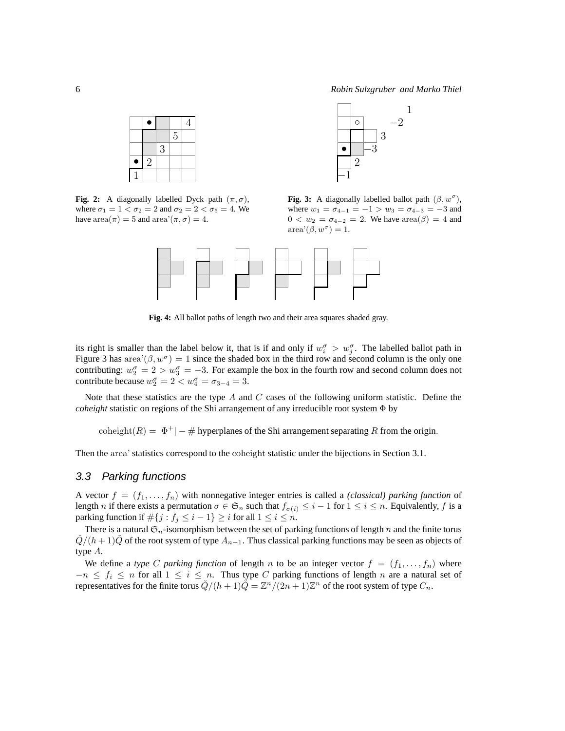1



**Fig. 2:** A diagonally labelled Dyck path  $(\pi, \sigma)$ , where  $\sigma_1 = 1 < \sigma_2 = 2$  and  $\sigma_2 = 2 < \sigma_5 = 4$ . We have  $area(\pi) = 5$  and  $area'(\pi, \sigma) = 4$ .



**Fig. 3:** A diagonally labelled ballot path  $(\beta, w^{\sigma})$ , where  $w_1 = \sigma_{4-1} = -1 > w_3 = \sigma_{4-3} = -3$  and  $0 < w_2 = \sigma_{4-2} = 2$ . We have  $area(\beta) = 4$  and  $area'(\beta, w^{\sigma}) = 1.$ 



**Fig. 4:** All ballot paths of length two and their area squares shaded gray.

its right is smaller than the label below it, that is if and only if  $w_i^{\sigma} > w_j^{\sigma}$ . The labelled ballot path in Figure 3 has area' $(\beta, w^{\sigma}) = 1$  since the shaded box in the third row and second column is the only one contributing:  $w_2^{\sigma} = 2 > w_3^{\sigma} = -3$ . For example the box in the fourth row and second column does not contribute because  $w_2^{\sigma} = 2 < w_4^{\sigma} = \sigma_{3-4} = 3$ .

Note that these statistics are the type  $A$  and  $C$  cases of the following uniform statistic. Define the *coheight* statistic on regions of the Shi arrangement of any irreducible root system Φ by

coheight( $R$ ) =  $|\Phi^+|$  – # hyperplanes of the Shi arrangement separating R from the origin.

Then the area' statistics correspond to the coheight statistic under the bijections in Section 3.1.

#### 3.3 Parking functions

A vector  $f = (f_1, \ldots, f_n)$  with nonnegative integer entries is called a *(classical) parking function* of length n if there exists a permutation  $\sigma \in \mathfrak{S}_n$  such that  $f_{\sigma(i)} \leq i-1$  for  $1 \leq i \leq n$ . Equivalently, f is a parking function if  $\#\{j : f_j \leq i-1\} \geq i$  for all  $1 \leq i \leq n$ .

There is a natural  $\mathfrak{S}_n$ -isomorphism between the set of parking functions of length n and the finite torus  $Q/(h+1)Q$  of the root system of type  $A_{n-1}$ . Thus classical parking functions may be seen as objects of type A.

We define a *type* C *parking function* of length n to be an integer vector  $f = (f_1, \ldots, f_n)$  where  $-n \leq f_i \leq n$  for all  $1 \leq i \leq n$ . Thus type C parking functions of length n are a natural set of representatives for the finite torus  $\check{Q}/(h+1)\check{Q} = \mathbb{Z}^n/(2n+1)\mathbb{Z}^n$  of the root system of type  $C_n$ .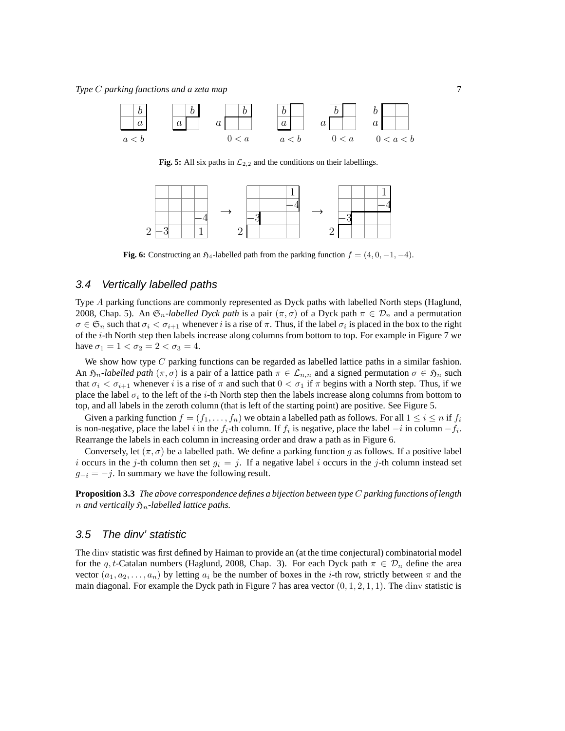

**Fig. 5:** All six paths in  $\mathcal{L}_{2,2}$  and the conditions on their labellings.



**Fig. 6:** Constructing an  $\mathfrak{H}_4$ -labelled path from the parking function  $f = (4, 0, -1, -4)$ .

### 3.4 Vertically labelled paths

Type A parking functions are commonly represented as Dyck paths with labelled North steps (Haglund, 2008, Chap. 5). An  $\mathfrak{S}_n$ -*labelled Dyck path* is a pair  $(\pi, \sigma)$  of a Dyck path  $\pi \in \mathcal{D}_n$  and a permutation  $\sigma \in \mathfrak{S}_n$  such that  $\sigma_i < \sigma_{i+1}$  whenever i is a rise of  $\pi$ . Thus, if the label  $\sigma_i$  is placed in the box to the right of the i-th North step then labels increase along columns from bottom to top. For example in Figure 7 we have  $\sigma_1 = 1 < \sigma_2 = 2 < \sigma_3 = 4$ .

We show how type  $C$  parking functions can be regarded as labelled lattice paths in a similar fashion. An  $\mathfrak{H}_n$ -labelled path ( $\pi, \sigma$ ) is a pair of a lattice path  $\pi \in \mathcal{L}_{n,n}$  and a signed permutation  $\sigma \in \mathfrak{H}_n$  such that  $\sigma_i < \sigma_{i+1}$  whenever i is a rise of  $\pi$  and such that  $0 < \sigma_1$  if  $\pi$  begins with a North step. Thus, if we place the label  $\sigma_i$  to the left of the *i*-th North step then the labels increase along columns from bottom to top, and all labels in the zeroth column (that is left of the starting point) are positive. See Figure 5.

Given a parking function  $f = (f_1, \ldots, f_n)$  we obtain a labelled path as follows. For all  $1 \le i \le n$  if  $f_i$ is non-negative, place the label i in the  $f_i$ -th column. If  $f_i$  is negative, place the label  $-i$  in column  $-f_i$ . Rearrange the labels in each column in increasing order and draw a path as in Figure 6.

Conversely, let  $(\pi, \sigma)$  be a labelled path. We define a parking function g as follows. If a positive label i occurs in the j-th column then set  $g_i = j$ . If a negative label i occurs in the j-th column instead set  $g_{-i} = -j$ . In summary we have the following result.

**Proposition 3.3** *The above correspondence defines a bijection between type* C *parking functions of length n* and vertically  $\mathfrak{H}_n$ -labelled lattice paths.

#### 3.5 The dinv' statistic

The dinv statistic was first defined by Haiman to provide an (at the time conjectural) combinatorial model for the q, t-Catalan numbers (Haglund, 2008, Chap. 3). For each Dyck path  $\pi \in \mathcal{D}_n$  define the area vector  $(a_1, a_2, \ldots, a_n)$  by letting  $a_i$  be the number of boxes in the *i*-th row, strictly between  $\pi$  and the main diagonal. For example the Dyck path in Figure 7 has area vector  $(0, 1, 2, 1, 1)$ . The dinv statistic is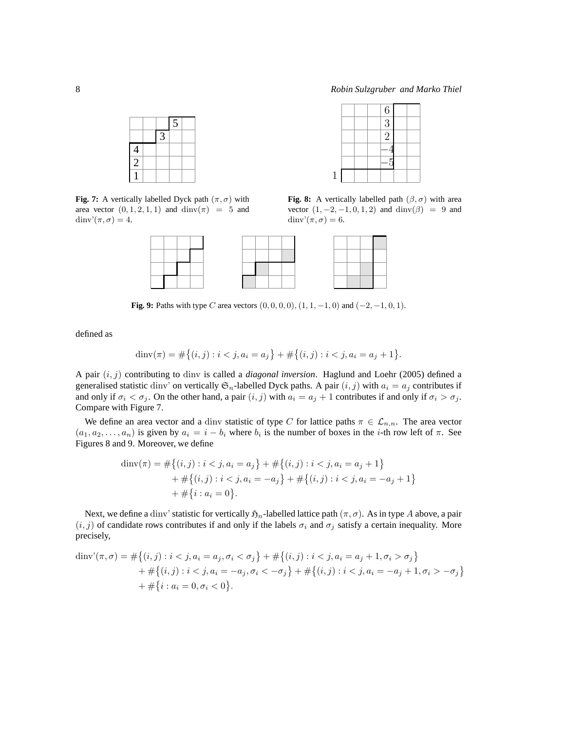$\boxed{-5}$  $|-4$ 2 3 6

**Fig. 8:** A vertically labelled path  $(\beta, \sigma)$  with area vector  $(1, -2, -1, 0, 1, 2)$  and  $\text{dim}(\beta) = 9$  and

1

dinv' $(\pi, \sigma) = 6$ .

|                |   | $\overline{5}$ |  |
|----------------|---|----------------|--|
|                | 3 |                |  |
| $\overline{4}$ |   |                |  |
| 2              |   |                |  |
|                |   |                |  |

**Fig. 7:** A vertically labelled Dyck path  $(\pi, \sigma)$  with area vector  $(0, 1, 2, 1, 1)$  and  $\text{dinv}(\pi) = 5$  and dinv' $(\pi, \sigma) = 4$ .

|  |      | ______ |      |  |       |      |   |  |        |       |  |
|--|------|--------|------|--|-------|------|---|--|--------|-------|--|
|  | ____ |        |      |  |       |      |   |  |        |       |  |
|  |      | ____   | __   |  | _____ | ___  | _ |  |        | ____  |  |
|  |      | _____  | ____ |  | _____ | ____ |   |  | ______ | _____ |  |

**Fig. 9:** Paths with type C area vectors  $(0, 0, 0, 0), (1, 1, -1, 0)$  and  $(-2, -1, 0, 1)$ .

defined as

$$
\dim(\pi) = \#\{(i,j) : i < j, a_i = a_j\} + \#\{(i,j) : i < j, a_i = a_j + 1\}.
$$

A pair (i, j) contributing to dinv is called a *diagonal inversion*. Haglund and Loehr (2005) defined a generalised statistic dinv' on vertically  $\mathfrak{S}_n$ -labelled Dyck paths. A pair  $(i, j)$  with  $a_i = a_j$  contributes if and only if  $\sigma_i < \sigma_j$ . On the other hand, a pair  $(i, j)$  with  $a_i = a_j + 1$  contributes if and only if  $\sigma_i > \sigma_j$ . Compare with Figure 7.

We define an area vector and a dinv statistic of type C for lattice paths  $\pi \in \mathcal{L}_{n,n}$ . The area vector  $(a_1, a_2, \ldots, a_n)$  is given by  $a_i = i - b_i$  where  $b_i$  is the number of boxes in the *i*-th row left of  $\pi$ . See Figures 8 and 9. Moreover, we define

$$
\dim(\pi) = #\{(i,j) : i < j, a_i = a_j\} + #\{(i,j) : i < j, a_i = a_j + 1\} \\
+ #\{(i,j) : i < j, a_i = -a_j\} + #\{(i,j) : i < j, a_i = -a_j + 1\} \\
+ #\{i : a_i = 0\}.
$$

Next, we define a dinv' statistic for vertically  $\mathfrak{H}_n$ -labelled lattice path  $(\pi, \sigma)$ . As in type A above, a pair  $(i, j)$  of candidate rows contributes if and only if the labels  $\sigma_i$  and  $\sigma_j$  satisfy a certain inequality. More precisely,

$$
\dim \mathbf{v}'(\pi, \sigma) = \#\{(i, j) : i < j, a_i = a_j, \sigma_i < \sigma_j\} + \#\{(i, j) : i < j, a_i = a_j + 1, \sigma_i > \sigma_j\} + \#\{(i, j) : i < j, a_i = -a_j, \sigma_i < -\sigma_j\} + \#\{(i, j) : i < j, a_i = -a_j + 1, \sigma_i > -\sigma_j\} + \#\{i : a_i = 0, \sigma_i < 0\}.
$$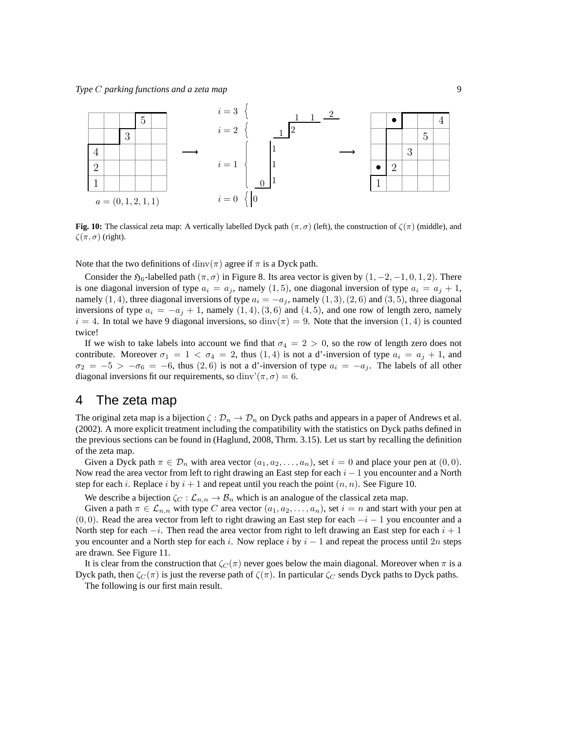

**Fig. 10:** The classical zeta map: A vertically labelled Dyck path  $(\pi, \sigma)$  (left), the construction of  $\zeta(\pi)$  (middle), and  $\zeta(\pi,\sigma)$  (right).

Note that the two definitions of  $\dim(y)$  agree if  $\pi$  is a Dyck path.

Consider the  $\mathfrak{H}_6$ -labelled path  $(\pi, \sigma)$  in Figure 8. Its area vector is given by  $(1, -2, -1, 0, 1, 2)$ . There is one diagonal inversion of type  $a_i = a_j$ , namely (1, 5), one diagonal inversion of type  $a_i = a_j + 1$ , namely  $(1, 4)$ , three diagonal inversions of type  $a_i = -a_j$ , namely  $(1, 3)$ ,  $(2, 6)$  and  $(3, 5)$ , three diagonal inversions of type  $a_i = -a_j + 1$ , namely  $(1, 4), (3, 6)$  and  $(4, 5)$ , and one row of length zero, namely  $i = 4$ . In total we have 9 diagonal inversions, so dinv $(\pi) = 9$ . Note that the inversion  $(1, 4)$  is counted twice!

If we wish to take labels into account we find that  $\sigma_4 = 2 > 0$ , so the row of length zero does not contribute. Moreover  $\sigma_1 = 1 < \sigma_4 = 2$ , thus  $(1, 4)$  is not a d'-inversion of type  $a_i = a_j + 1$ , and  $\sigma_2 = -5$  >  $-\sigma_6 = -6$ , thus (2,6) is not a d'-inversion of type  $a_i = -a_j$ . The labels of all other diagonal inversions fit our requirements, so dinv'( $\pi, \sigma$ ) = 6.

## 4 The zeta map

The original zeta map is a bijection  $\zeta : \mathcal{D}_n \to \mathcal{D}_n$  on Dyck paths and appears in a paper of Andrews et al. (2002). A more explicit treatment including the compatibility with the statistics on Dyck paths defined in the previous sections can be found in (Haglund, 2008, Thrm. 3.15). Let us start by recalling the definition of the zeta map.

Given a Dyck path  $\pi \in \mathcal{D}_n$  with area vector  $(a_1, a_2, \dots, a_n)$ , set  $i = 0$  and place your pen at  $(0, 0)$ . Now read the area vector from left to right drawing an East step for each  $i - 1$  you encounter and a North step for each i. Replace i by  $i + 1$  and repeat until you reach the point  $(n, n)$ . See Figure 10.

We describe a bijection  $\zeta_C : \mathcal{L}_{n,n} \to \mathcal{B}_n$  which is an analogue of the classical zeta map.

Given a path  $\pi \in \mathcal{L}_{n,n}$  with type C area vector  $(a_1, a_2, \ldots, a_n)$ , set  $i = n$  and start with your pen at  $(0, 0)$ . Read the area vector from left to right drawing an East step for each  $-i - 1$  you encounter and a North step for each  $-i$ . Then read the area vector from right to left drawing an East step for each  $i + 1$ you encounter and a North step for each i. Now replace i by  $i - 1$  and repeat the process until 2n steps are drawn. See Figure 11.

It is clear from the construction that  $\zeta_C(\pi)$  never goes below the main diagonal. Moreover when  $\pi$  is a Dyck path, then  $\zeta_C(\pi)$  is just the reverse path of  $\zeta(\pi)$ . In particular  $\zeta_C$  sends Dyck paths to Dyck paths.

The following is our first main result.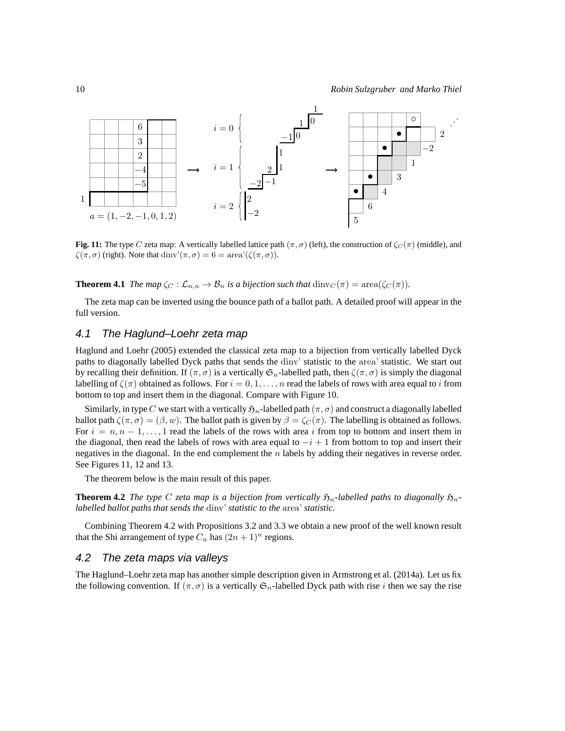

**Fig. 11:** The type C zeta map: A vertically labelled lattice path  $(\pi, \sigma)$  (left), the construction of  $\zeta_c(\pi)$  (middle), and  $\zeta(\pi,\sigma)$  (right). Note that dinv' $(\pi,\sigma) = 6 = \text{area}'(\zeta(\pi,\sigma))$ .

**Theorem 4.1** *The map*  $\zeta_c : \mathcal{L}_{n,n} \to \mathcal{B}_n$  *is a bijection such that*  $\dim_{\mathbb{C}}(\pi) = \text{area}(\zeta_c(\pi)).$ 

The zeta map can be inverted using the bounce path of a ballot path. A detailed proof will appear in the full version.

#### 4.1 The Haglund–Loehr zeta map

Haglund and Loehr (2005) extended the classical zeta map to a bijection from vertically labelled Dyck paths to diagonally labelled Dyck paths that sends the dinv' statistic to the area' statistic. We start out by recalling their definition. If  $(\pi, \sigma)$  is a vertically  $\mathfrak{S}_n$ -labelled path, then  $\zeta(\pi, \sigma)$  is simply the diagonal labelling of  $\zeta(\pi)$  obtained as follows. For  $i = 0, 1, \ldots, n$  read the labels of rows with area equal to i from bottom to top and insert them in the diagonal. Compare with Figure 10.

Similarly, in type C we start with a vertically  $\mathfrak{H}_n$ -labelled path  $(\pi, \sigma)$  and construct a diagonally labelled ballot path  $\zeta(\pi, \sigma) = (\beta, w)$ . The ballot path is given by  $\beta = \zeta_C(\pi)$ . The labelling is obtained as follows. For  $i = n, n - 1, \ldots, 1$  read the labels of the rows with area i from top to bottom and insert them in the diagonal, then read the labels of rows with area equal to  $-i + 1$  from bottom to top and insert their negatives in the diagonal. In the end complement the  $n$  labels by adding their negatives in reverse order. See Figures 11, 12 and 13.

The theorem below is the main result of this paper.

**Theorem 4.2** *The type* C *zeta map is a bijection from vertically*  $\mathfrak{H}_n$ -labelled paths to diagonally  $\mathfrak{H}_n$ *labelled ballot paths that sends the* dinv' *statistic to the* area' *statistic.*

Combining Theorem 4.2 with Propositions 3.2 and 3.3 we obtain a new proof of the well known result that the Shi arrangement of type  $C_n$  has  $(2n + 1)^n$  regions.

#### 4.2 The zeta maps via valleys

The Haglund–Loehr zeta map has another simple description given in Armstrong et al. (2014a). Let us fix the following convention. If  $(\pi, \sigma)$  is a vertically  $\mathfrak{S}_n$ -labelled Dyck path with rise i then we say the rise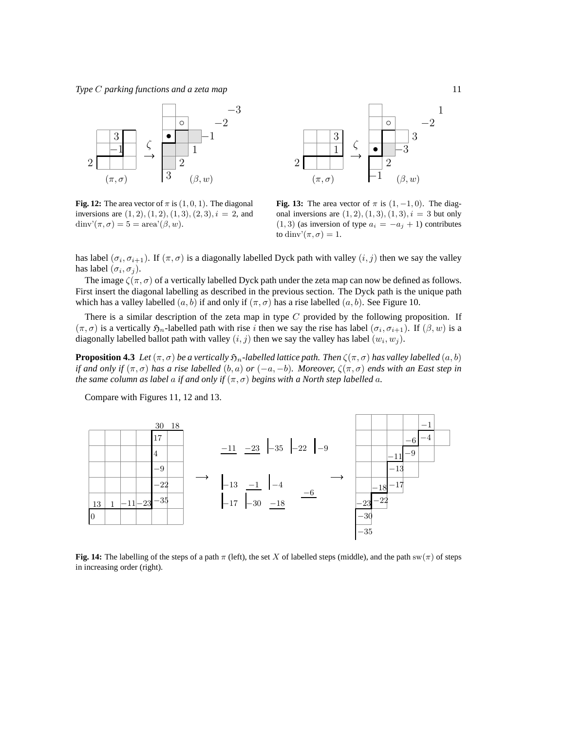

**Fig. 12:** The area vector of  $\pi$  is  $(1, 0, 1)$ . The diagonal inversions are  $(1, 2), (1, 2), (1, 3), (2, 3), i = 2$ , and dinv' $(\pi, \sigma) = 5 = \text{area'}(\beta, w)$ .



**Fig. 13:** The area vector of  $\pi$  is  $(1, -1, 0)$ . The diagonal inversions are  $(1, 2), (1, 3), (1, 3), i = 3$  but only  $(1, 3)$  (as inversion of type  $a_i = -a_j + 1$ ) contributes to dinv' $(\pi, \sigma) = 1$ .

has label  $(\sigma_i, \sigma_{i+1})$ . If  $(\pi, \sigma)$  is a diagonally labelled Dyck path with valley  $(i, j)$  then we say the valley has label  $(\sigma_i, \sigma_j)$ .

The image  $\zeta(\pi, \sigma)$  of a vertically labelled Dyck path under the zeta map can now be defined as follows. First insert the diagonal labelling as described in the previous section. The Dyck path is the unique path which has a valley labelled  $(a, b)$  if and only if  $(\pi, \sigma)$  has a rise labelled  $(a, b)$ . See Figure 10.

There is a similar description of the zeta map in type  $C$  provided by the following proposition. If  $(\pi, \sigma)$  is a vertically  $\mathfrak{H}_n$ -labelled path with rise i then we say the rise has label  $(\sigma_i, \sigma_{i+1})$ . If  $(\beta, w)$  is a diagonally labelled ballot path with valley  $(i, j)$  then we say the valley has label  $(w_i, w_j)$ .

**Proposition 4.3** *Let*  $(\pi, \sigma)$  *be a vertically*  $\mathfrak{H}_n$ -labelled lattice path. Then  $\zeta(\pi, \sigma)$  has valley labelled  $(a, b)$ *if and only if*  $(\pi, \sigma)$  *has a rise labelled*  $(b, a)$  *or*  $(-a, -b)$ *. Moreover,*  $\zeta(\pi, \sigma)$  *ends with an East step in the same column as label a if and only if*  $(\pi, \sigma)$  *begins with a North step labelled a.* 

Compare with Figures 11, 12 and 13.



**Fig. 14:** The labelling of the steps of a path  $\pi$  (left), the set X of labelled steps (middle), and the path sw( $\pi$ ) of steps in increasing order (right).